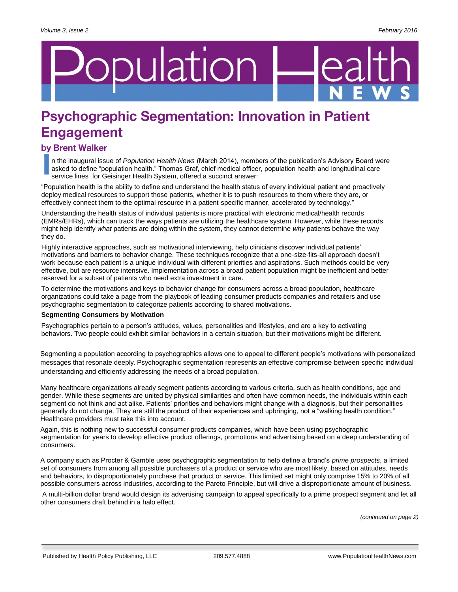# pulation

## **Psychographic Segmentation: Innovation in Patient Engagement**

### by Brent Walker

n the inaugural issue of *Population Health News* (March 2014), members of the publication's Advisory Board were asked to define "population health." Thomas Graf, chief medical officer, population health and longitudinal care service lines for Geisinger Health System, offered a succinct answer:

"Population health is the ability to define and understand the health status of every individual patient and proactively deploy medical resources to support those patients, whether it is to push resources to them where they are, or effectively connect them to the optimal resource in a patient-specific manner, accelerated by technology."

Understanding the health status of individual patients is more practical with electronic medical/health records (EMRs/EHRs), which can track the ways patients are utilizing the healthcare system. However, while these records might help identify *what* patients are doing within the system, they cannot determine *why* patients behave the way they do.

Highly interactive approaches, such as motivational interviewing, help clinicians discover individual patients' motivations and barriers to behavior change. These techniques recognize that a one-size-fits-all approach doesn't work because each patient is a unique individual with different priorities and aspirations. Such methods could be very effective, but are resource intensive. Implementation across a broad patient population might be inefficient and better reserved for a subset of patients who need extra investment in care.

To determine the motivations and keys to behavior change for consumers across a broad population, healthcare organizations could take a page from the playbook of leading consumer products companies and retailers and use psychographic segmentation to categorize patients according to shared motivations.

#### **Segmenting Consumers by Motivation**

Psychographics pertain to a person's attitudes, values, personalities and lifestyles, and are a key to activating behaviors. Two people could exhibit similar behaviors in a certain situation, but their motivations might be different.

Segmenting a population according to psychographics allows one to appeal to different people's motivations with personalized messages that resonate deeply. Psychographic segmentation represents an effective compromise between specific individual understanding and efficiently addressing the needs of a broad population.

Many healthcare organizations already segment patients according to various criteria, such as health conditions, age and gender. While these segments are united by physical similarities and often have common needs, the individuals within each segment do not think and act alike. Patients' priorities and behaviors might change with a diagnosis, but their personalities generally do not change. They are still the product of their experiences and upbringing, not a "walking health condition." Healthcare providers must take this into account.

Again, this is nothing new to successful consumer products companies, which have been using psychographic segmentation for years to develop effective product offerings, promotions and advertising based on a deep understanding of consumers.

A company such as Procter & Gamble uses psychographic segmentation to help define a brand's *prime prospects*, a limited set of consumers from among all possible purchasers of a product or service who are most likely, based on attitudes, needs and behaviors, to disproportionately purchase that product or service. This limited set might only comprise 15% to 20% of all possible consumers across industries, according to the Pareto Principle, but will drive a disproportionate amount of business.

A multi-billion dollar brand would design its advertising campaign to appeal specifically to a prime prospect segment and let all other consumers draft behind in a halo effect.

*(continued on page 2)*